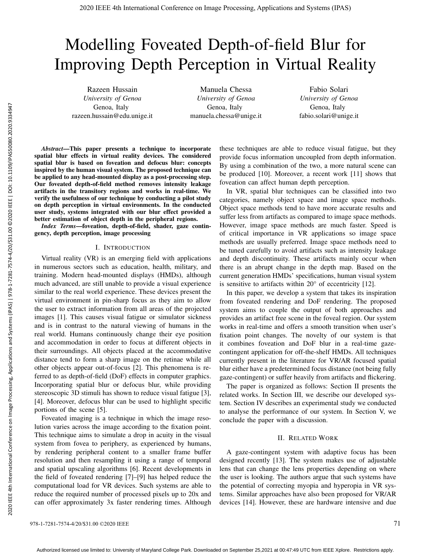# Modelling Foveated Depth-of-field Blur for Improving Depth Perception in Virtual Reality

Razeen Hussain *University of Genoa* Genoa, Italy razeen.hussain@edu.unige.it

Manuela Chessa *University of Genoa* Genoa, Italy manuela.chessa@unige.it

Fabio Solari *University of Genoa* Genoa, Italy fabio.solari@unige.it

*Abstract*—This paper presents a technique to incorporate spatial blur effects in virtual reality devices. The considered spatial blur is based on foveation and defocus blur: concepts inspired by the human visual system. The proposed technique can be applied to any head-mounted display as a post-processing step. Our foveated depth-of-field method removes intensity leakage artifacts in the transitory regions and works in real-time. We verify the usefulness of our technique by conducting a pilot study on depth perception in virtual environments. In the conducted user study, systems integrated with our blur effect provided a better estimation of object depth in the peripheral regions.

*Index Terms*—foveation, depth-of-field, shader, gaze contingency, depth perception, image processing

## I. INTRODUCTION

Virtual reality (VR) is an emerging field with applications in numerous sectors such as education, health, military, and training. Modern head-mounted displays (HMDs), although much advanced, are still unable to provide a visual experience similar to the real world experience. These devices present the virtual environment in pin-sharp focus as they aim to allow the user to extract information from all areas of the projected images [1]. This causes visual fatigue or simulator sickness and is in contrast to the natural viewing of humans in the real world. Humans continuously change their eye position and accommodation in order to focus at different objects in their surroundings. All objects placed at the accommodative distance tend to form a sharp image on the retinae while all other objects appear out-of-focus [2]. This phenomena is referred to as depth-of-field (DoF) effects in computer graphics. Incorporating spatial blur or defocus blur, while providing stereoscopic 3D stimuli has shown to reduce visual fatigue [3], [4]. Moreover, defocus blur can be used to highlight specific portions of the scene [5].

Foveated imaging is a technique in which the image resolution varies across the image according to the fixation point. This technique aims to simulate a drop in acuity in the visual system from fovea to periphery, as experienced by humans, by rendering peripheral content to a smaller frame buffer resolution and then resampling it using a range of temporal and spatial upscaling algorithms [6]. Recent developments in the field of foveated rendering [7]–[9] has helped reduce the computational load for VR devices. Such systems are able to reduce the required number of processed pixels up to 20x and can offer approximately 3x faster rendering times. Although

these techniques are able to reduce visual fatigue, but they provide focus information uncoupled from depth information. By using a combination of the two, a more natural scene can be produced [10]. Moreover, a recent work [11] shows that foveation can affect human depth perception.

In VR, spatial blur techniques can be classified into two categories, namely object space and image space methods. Object space methods tend to have more accurate results and suffer less from artifacts as compared to image space methods. However, image space methods are much faster. Speed is of critical importance in VR applications so image space methods are usually preferred. Image space methods need to be tuned carefully to avoid artifacts such as intensity leakage and depth discontinuity. These artifacts mainly occur when there is an abrupt change in the depth map. Based on the current generation HMDs' specifications, human visual system is sensitive to artifacts within 20° of eccentricity [12].

In this paper, we develop a system that takes its inspiration from foveated rendering and DoF rendering. The proposed system aims to couple the output of both approaches and provides an artifact free scene in the foveal region. Our system works in real-time and offers a smooth transition when user's fixation point changes. The novelty of our system is that it combines foveation and DoF blur in a real-time gazecontingent application for off-the-shelf HMDs. All techniques currently present in the literature for VR/AR focused spatial blur either have a predetermined focus distance (not being fully gaze-contingent) or suffer heavily from artifacts and flickering.

The paper is organized as follows: Section II presents the related works. In Section III, we describe our developed system. Section IV describes an experimental study we conducted to analyse the performance of our system. In Section V, we conclude the paper with a discussion.

# II. RELATED WORK

A gaze-contingent system with adaptive focus has been designed recently [13]. The system makes use of adjustable lens that can change the lens properties depending on where the user is looking. The authors argue that such systems have the potential of correcting myopia and hyperopia in VR systems. Similar approaches have also been proposed for VR/AR devices [14]. However, these are hardware intensive and due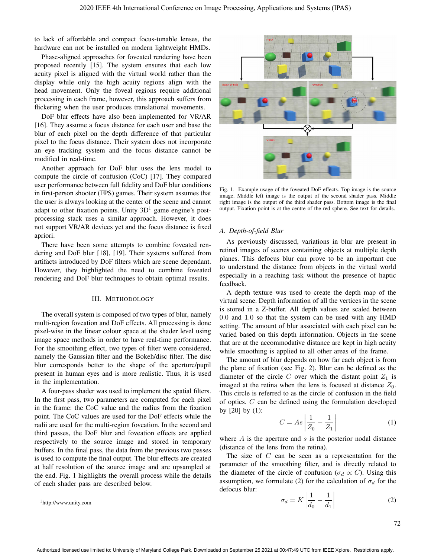to lack of affordable and compact focus-tunable lenses, the hardware can not be installed on modern lightweight HMDs.

Phase-aligned approaches for foveated rendering have been proposed recently [15]. The system ensures that each low acuity pixel is aligned with the virtual world rather than the display while only the high acuity regions align with the head movement. Only the foveal regions require additional processing in each frame, however, this approach suffers from flickering when the user produces translational movements.

DoF blur effects have also been implemented for VR/AR [16]. They assume a focus distance for each user and base the blur of each pixel on the depth difference of that particular pixel to the focus distance. Their system does not incorporate an eye tracking system and the focus distance cannot be modified in real-time.

Another approach for DoF blur uses the lens model to compute the circle of confusion (CoC) [17]. They compared user performance between full fidelity and DoF blur conditions in first-person shooter (FPS) games. Their system assumes that the user is always looking at the center of the scene and cannot adapt to other fixation points. Unity  $3D<sup>1</sup>$  game engine's postprocessing stack uses a similar approach. However, it does not support VR/AR devices yet and the focus distance is fixed apriori.

There have been some attempts to combine foveated rendering and DoF blur [18], [19]. Their systems suffered from artifacts introduced by DoF filters which are scene dependant. However, they highlighted the need to combine foveated rendering and DoF blur techniques to obtain optimal results.

#### III. METHODOLOGY

The overall system is composed of two types of blur, namely multi-region foveation and DoF effects. All processing is done pixel-wise in the linear colour space at the shader level using image space methods in order to have real-time performance. For the smoothing effect, two types of filter were considered, namely the Gaussian filter and the Bokeh/disc filter. The disc blur corresponds better to the shape of the aperture/pupil present in human eyes and is more realistic. Thus, it is used in the implementation.

A four-pass shader was used to implement the spatial filters. In the first pass, two parameters are computed for each pixel in the frame: the CoC value and the radius from the fixation point. The CoC values are used for the DoF effects while the radii are used for the multi-region foveation. In the second and third passes, the DoF blur and foveation effects are applied respectively to the source image and stored in temporary buffers. In the final pass, the data from the previous two passes is used to compute the final output. The blur effects are created at half resolution of the source image and are upsampled at the end. Fig. 1 highlights the overall process while the details of each shader pass are described below.

<sup>1</sup>http://www.unity.com



Fig. 1. Example usage of the foveated DoF effects. Top image is the source image. Middle left image is the output of the second shader pass. Middle right image is the output of the third shader pass. Bottom image is the final output. Fixation point is at the centre of the red sphere. See text for details.

#### *A. Depth-of-field Blur*

As previously discussed, variations in blur are present in retinal images of scenes containing objects at multiple depth planes. This defocus blur can prove to be an important cue to understand the distance from objects in the virtual world especially in a reaching task without the presence of haptic feedback.

A depth texture was used to create the depth map of the virtual scene. Depth information of all the vertices in the scene is stored in a Z-buffer. All depth values are scaled between 0.0 and 1.0 so that the system can be used with any HMD setting. The amount of blur associated with each pixel can be varied based on this depth information. Objects in the scene that are at the accommodative distance are kept in high acuity while smoothing is applied to all other areas of the frame.

The amount of blur depends on how far each object is from the plane of fixation (see Fig. 2). Blur can be defined as the diameter of the circle C over which the distant point  $Z_1$  is imaged at the retina when the lens is focused at distance  $Z_0$ . This circle is referred to as the circle of confusion in the field of optics. C can be defined using the formulation developed by  $[20]$  by  $(1)$ :

$$
C = As \left| \frac{1}{Z_0} - \frac{1}{Z_1} \right| \tag{1}
$$

where  $A$  is the aperture and  $s$  is the posterior nodal distance (distance of the lens from the retina).

The size of  $C$  can be seen as a representation for the parameter of the smoothing filter, and is directly related to the diameter of the circle of confusion ( $\sigma_d \propto C$ ). Using this assumption, we formulate (2) for the calculation of  $\sigma_d$  for the defocus blur:

$$
\sigma_d = K \left| \frac{1}{d_0} - \frac{1}{d_1} \right| \tag{2}
$$

72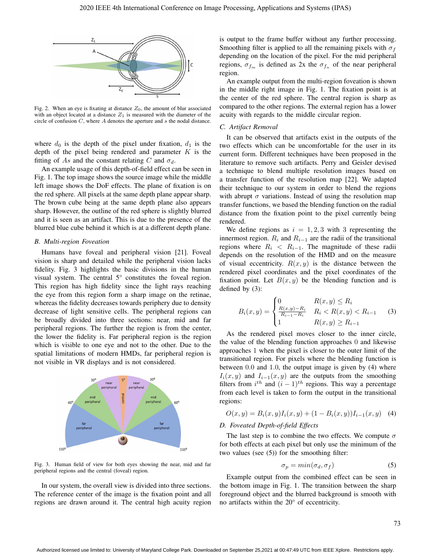

Fig. 2. When an eye is fixating at distance  $Z_0$ , the amount of blur associated with an object located at a distance  $Z_1$  is measured with the diameter of the circle of confusion C, where A denotes the aperture and s the nodal distance.

where  $d_0$  is the depth of the pixel under fixation,  $d_1$  is the depth of the pixel being rendered and parameter  $K$  is the fitting of As and the constant relating C and  $\sigma_d$ .

An example usage of this depth-of-field effect can be seen in Fig. 1. The top image shows the source image while the middle left image shows the DoF effects. The plane of fixation is on the red sphere. All pixels at the same depth plane appear sharp. The brown cube being at the same depth plane also appears sharp. However, the outline of the red sphere is slightly blurred and it is seen as an artifact. This is due to the presence of the blurred blue cube behind it which is at a different depth plane.

### *B. Multi-region Foveation*

Humans have foveal and peripheral vision [21]. Foveal vision is sharp and detailed while the peripheral vision lacks fidelity. Fig. 3 highlights the basic divisions in the human visual system. The central 5° constitutes the foveal region. This region has high fidelity since the light rays reaching the eye from this region form a sharp image on the retinae, whereas the fidelity decreases towards periphery due to density decrease of light sensitive cells. The peripheral regions can be broadly divided into three sections: near, mid and far peripheral regions. The further the region is from the center, the lower the fidelity is. Far peripheral region is the region which is visible to one eye and not to the other. Due to the spatial limitations of modern HMDs, far peripheral region is not visible in VR displays and is not considered.



Fig. 3. Human field of view for both eyes showing the near, mid and far peripheral regions and the central (foveal) region.

In our system, the overall view is divided into three sections. The reference center of the image is the fixation point and all regions are drawn around it. The central high acuity region is output to the frame buffer without any further processing. Smoothing filter is applied to all the remaining pixels with  $\sigma_f$ depending on the location of the pixel. For the mid peripheral regions,  $\sigma_{f_m}$  is defined as 2x the  $\sigma_{f_n}$  of the near peripheral region.

An example output from the multi-region foveation is shown in the middle right image in Fig. 1. The fixation point is at the center of the red sphere. The central region is sharp as compared to the other regions. The external region has a lower acuity with regards to the middle circular region.

## *C. Artifact Removal*

It can be observed that artifacts exist in the outputs of the two effects which can be uncomfortable for the user in its current form. Different techniques have been proposed in the literature to remove such artifacts. Perry and Geisler devised a technique to blend multiple resolution images based on a transfer function of the resolution map [22]. We adapted their technique to our system in order to blend the regions with abrupt  $\sigma$  variations. Instead of using the resolution map transfer functions, we based the blending function on the radial distance from the fixation point to the pixel currently being rendered.

We define regions as  $i = 1, 2, 3$  with 3 representing the innermost region.  $R_i$  and  $R_{i-1}$  are the radii of the transitional regions where  $R_i < R_{i-1}$ . The magnitude of these radii depends on the resolution of the HMD and on the measure of visual eccentricity.  $R(x, y)$  is the distance between the rendered pixel coordinates and the pixel coordinates of the fixation point. Let  $B(x, y)$  be the blending function and is defined by (3):

$$
B_i(x, y) = \begin{cases} 0 & R(x, y) \le R_i \\ \frac{R(x, y) - R_i}{R_{i-1} - R_i} & R_i < R(x, y) < R_{i-1} \\ 1 & R(x, y) \ge R_{i-1} \end{cases}
$$
 (3)

As the rendered pixel moves closer to the inner circle, the value of the blending function approaches 0 and likewise approaches 1 when the pixel is closer to the outer limit of the transitional region. For pixels where the blending function is between 0.0 and 1.0, the output image is given by (4) where  $I_i(x, y)$  and  $I_{i-1}(x, y)$  are the outputs from the smoothing filters from  $i^{th}$  and  $(i - 1)^{th}$  regions. This way a percentage from each level is taken to form the output in the transitional regions:

$$
O(x, y) = B_i(x, y)I_i(x, y) + (1 - B_i(x, y))I_{i-1}(x, y)
$$
 (4)

## *D. Foveated Depth-of-field Effects*

The last step is to combine the two effects. We compute  $\sigma$ for both effects at each pixel but only use the minimum of the two values (see (5)) for the smoothing filter:

$$
\sigma_p = \min(\sigma_d, \sigma_f) \tag{5}
$$

Example output from the combined effect can be seen in the bottom image in Fig. 1. The transition between the sharp foreground object and the blurred background is smooth with no artifacts within the 20° of eccentricity.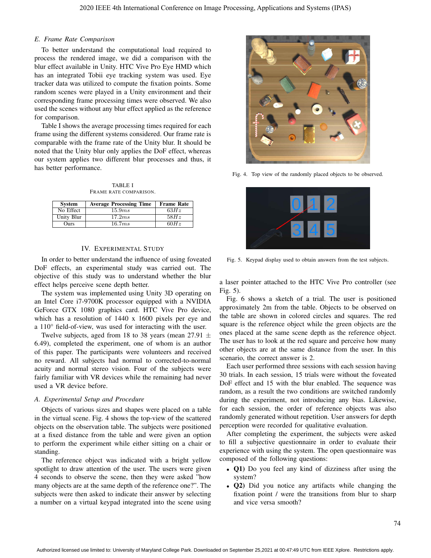# *E. Frame Rate Comparison*

To better understand the computational load required to process the rendered image, we did a comparison with the blur effect available in Unity. HTC Vive Pro Eye HMD which has an integrated Tobii eye tracking system was used. Eye tracker data was utilized to compute the fixation points. Some random scenes were played in a Unity environment and their corresponding frame processing times were observed. We also used the scenes without any blur effect applied as the reference for comparison.

Table I shows the average processing times required for each frame using the different systems considered. Our frame rate is comparable with the frame rate of the Unity blur. It should be noted that the Unity blur only applies the DoF effect, whereas our system applies two different blur processes and thus, it has better performance.

TABLE I FRAME RATE COMPARISON.

| <b>System</b> | <b>Average Processing Time</b> | <b>Frame Rate</b> |
|---------------|--------------------------------|-------------------|
| No Effect     | 15.9ms                         | 63Hz              |
| Unity Blur    | 17.2ms                         | 58Hz              |
| Ours          | 16.7ms                         | 60Hz              |

## IV. EXPERIMENTAL STUDY

In order to better understand the influence of using foveated DoF effects, an experimental study was carried out. The objective of this study was to understand whether the blur effect helps perceive scene depth better.

The system was implemented using Unity 3D operating on an Intel Core i7-9700K processor equipped with a NVIDIA GeForce GTX 1080 graphics card. HTC Vive Pro device, which has a resolution of 1440 x 1600 pixels per eye and a 110° field-of-view, was used for interacting with the user.

Twelve subjects, aged from 18 to 38 years (mean 27.91  $\pm$ 6.49), completed the experiment, one of whom is an author of this paper. The participants were volunteers and received no reward. All subjects had normal to corrected-to-normal acuity and normal stereo vision. Four of the subjects were fairly familiar with VR devices while the remaining had never used a VR device before.

## *A. Experimental Setup and Procedure*

Objects of various sizes and shapes were placed on a table in the virtual scene. Fig. 4 shows the top-view of the scattered objects on the observation table. The subjects were positioned at a fixed distance from the table and were given an option to perform the experiment while either sitting on a chair or standing.

The reference object was indicated with a bright yellow spotlight to draw attention of the user. The users were given 4 seconds to observe the scene, then they were asked "how many objects are at the same depth of the reference one?". The subjects were then asked to indicate their answer by selecting a number on a virtual keypad integrated into the scene using



Fig. 4. Top view of the randomly placed objects to be observed.



Fig. 5. Keypad display used to obtain answers from the test subjects.

a laser pointer attached to the HTC Vive Pro controller (see Fig. 5).

Fig. 6 shows a sketch of a trial. The user is positioned approximately 2m from the table. Objects to be observed on the table are shown in colored circles and squares. The red square is the reference object while the green objects are the ones placed at the same scene depth as the reference object. The user has to look at the red square and perceive how many other objects are at the same distance from the user. In this scenario, the correct answer is 2.

Each user performed three sessions with each session having 30 trials. In each session, 15 trials were without the foveated DoF effect and 15 with the blur enabled. The sequence was random, as a result the two conditions are switched randomly during the experiment, not introducing any bias. Likewise, for each session, the order of reference objects was also randomly generated without repetition. User answers for depth perception were recorded for qualitative evaluation.

After completing the experiment, the subjects were asked to fill a subjective questionnaire in order to evaluate their experience with using the system. The open questionnaire was composed of the following questions:

- **Q1**) Do you feel any kind of dizziness after using the system?
- Q2) Did you notice any artifacts while changing the fixation point / were the transitions from blur to sharp and vice versa smooth?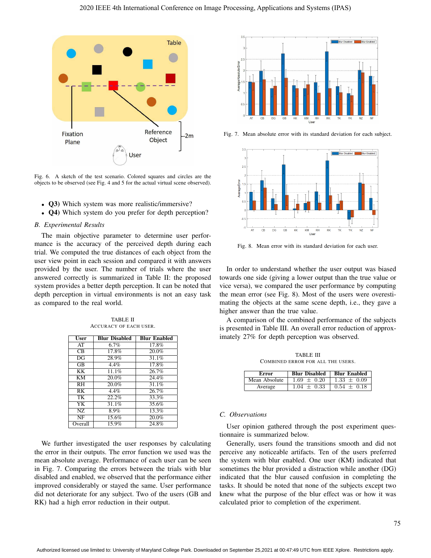

Fig. 6. A sketch of the test scenario. Colored squares and circles are the objects to be observed (see Fig. 4 and 5 for the actual virtual scene observed).

- Q3) Which system was more realistic/immersive?
- **Q4**) Which system do you prefer for depth perception?

## *B. Experimental Results*

The main objective parameter to determine user performance is the accuracy of the perceived depth during each trial. We computed the true distances of each object from the user view point in each session and compared it with answers provided by the user. The number of trials where the user answered correctly is summarized in Table II: the proposed system provides a better depth perception. It can be noted that depth perception in virtual environments is not an easy task as compared to the real world.

TABLE II ACCURACY OF EACH USER.

| User                | <b>Blur Disabled</b> | <b>Blur Enabled</b> |
|---------------------|----------------------|---------------------|
| AT                  | 6.7%                 | 17.8%               |
| $\overline{CB}$     | 17.8%                | 20.0%               |
| DG                  | 28.9%                | 31.1%               |
| $\overline{\rm GB}$ | 4.4%                 | 17.8%               |
| KК                  | 11.1%                | 26.7%               |
| $\overline{KM}$     | 20.0%                | 24.4%               |
| $\overline{RH}$     | 20.0%                | 31.1%               |
| RK                  | $4.4\%$              | 26.7%               |
| TK                  | 22.2%                | $33.\overline{3\%}$ |
| $\overline{YK}$     | 31.1%                | 35.6%               |
| NZ                  | 8.9%                 | 13.3%               |
| NF                  | 15.6%                | 20.0%               |
| Overall             | 15.9%                | 24.8%               |

We further investigated the user responses by calculating the error in their outputs. The error function we used was the mean absolute average. Performance of each user can be seen in Fig. 7. Comparing the errors between the trials with blur disabled and enabled, we observed that the performance either improved considerably or stayed the same. User performance did not deteriorate for any subject. Two of the users (GB and RK) had a high error reduction in their output.



Fig. 7. Mean absolute error with its standard deviation for each subject.



Fig. 8. Mean error with its standard deviation for each user.

In order to understand whether the user output was biased towards one side (giving a lower output than the true value or vice versa), we compared the user performance by computing the mean error (see Fig. 8). Most of the users were overestimating the objects at the same scene depth, i.e., they gave a higher answer than the true value.

A comparison of the combined performance of the subjects is presented in Table III. An overall error reduction of approximately 27% for depth perception was observed.

TABLE III COMBINED ERROR FOR ALL THE USERS.

| Error         | <b>Blur Disabled</b> | <b>Blur Enabled</b> |
|---------------|----------------------|---------------------|
| Mean Absolute | $1.69 + 0.20$        | $1.33 + 0.09$       |
| Average       | $1.04 + 0.33$        | $0.54 + 0.18$       |

## *C. Observations*

User opinion gathered through the post experiment questionnaire is summarized below.

Generally, users found the transitions smooth and did not perceive any noticeable artifacts. Ten of the users preferred the system with blur enabled. One user (KM) indicated that sometimes the blur provided a distraction while another (DG) indicated that the blur caused confusion in completing the tasks. It should be noted that none of the subjects except two knew what the purpose of the blur effect was or how it was calculated prior to completion of the experiment.